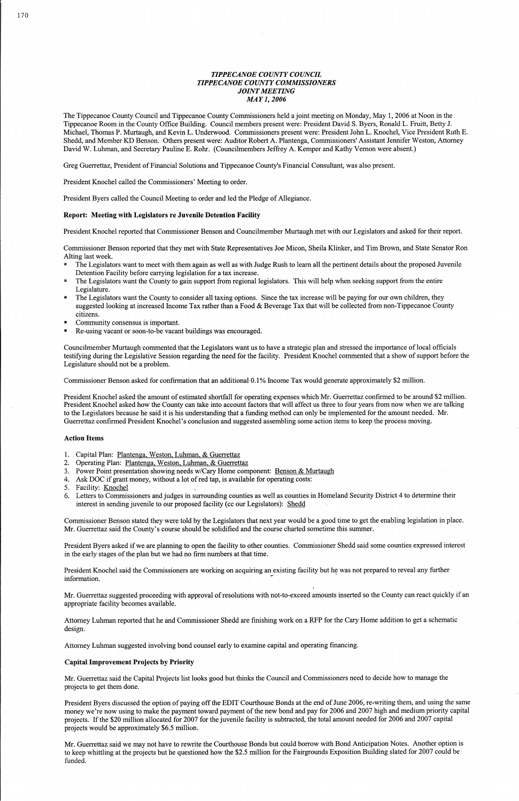# TIPPECANOE COUNTY COUNCIL TIPPECANOE COUNTY COMMISSIONERS **JOINT MEETING** MAY1, 2006

.<br>The Tippecanoe County Council and Tippecanoe County Commissioners held a joint meeting on Monday, May 1, 2006 at Noon in the<br>Tippecanoe Room in the County Office Building. Council members present were: President David S Tippecanoe Room in the County Office Building. Council members present were: President David S. Byers, Ronald L. Fruitt, Betty J.<br>Michael, Thomas P. Murtaugh, and Kevin L. Underwood. Commissioners present were: President J Shedd, and Member KD Benson. Others present were: Auditor Robert A. Plantenga, Commissioners' Assistant Jennifer Weston, Attorney David W. Luhman, and Secretary Pauline E. Rohr. (Councilmembers Jeffrey A. Kemper and Kathy

Greg Guerrettaz, President of Financial Solutions and Tippecanoe County's Financial Consultant, was also present.

Commissioner Benson reported that they met with State Representatives Joe Micon, Sheila Klinker, and Tim Brown, and State Senator Ron Alting last week. Commissioner Benson reported that they met with State Representatives Joe Micon, Sheila Klinker, and Tim Brown, and State Senator Re<br>Alting last week.<br>■ The Legislators want to meet with them again as well as with Judge Ru

- The Legislators want to meet with them again as well as with Judge Rush to learn all the pertinent details about the proposed Ju<br>Detention Facility before carrying legislation for a tax increase.<br>The Legislators want the C
- <sup>8</sup> The Legislators want the County to gain support from regional legislators. This will help when seeking support from the entire Legislature.
- The Legislators want the County to consider all taxing options. Since the tax increase will be paying for our own children, they  $\blacksquare$ suggested looking at increased Income Tax rather than a Food & Beverage Tax that will be collected from non-Tippecanoe County citizens.
- Community consensus is important.
- Re-using vacant or soon-to-be vacant buildings was encouraged.

President Knochel called the Commissioners' Meeting to order.

President Byers called the Council Meeting to order and led the Pledge of Allegiance.

## Report: Meeting with Legislators re Juvenile Detention Facility

Councilmember Murtaugh commented that the Legislators want us to have a strategic plan and stressed the importance oflocal officials .<br>Councilmember Murtaugh commented that the Legislators want us to have a strategic plan and stressed the importance of local officials<br>testifying during the Legislative Session regarding the need for the facility. Preside testifying during the Legislative Sess<br>Legislature should not be a problem. Legislature should not be a problem.<br>Commissioner Benson asked for confirmation that an additional 0.1% Income Tax would generate approximately \$2 million.

President Knochel reported that Commissioner Benson and Councilmember Murtaugh met with our Legislators and asked for their report.

President Knochel asked the amount of estimated shortfall for operating expenses which Mr. Guerrettaz confirmed to be around \$2 million. President Knochel asked how the County can take into account factors that will affect us three to four years from now when we are talking The Legislators because he said it is his understanding that a funding method can only be implemented for the amount needed. Mr.<br>The Legislators because he said it is his understanding that a funding method can only be imp to the Legislators because he said it is his understanding that a funding method can only be implemented for the amount needed<br>Guerrettaz confirmed President Knochel's conclusion and suggested assembling some action items

Commissioner Benson stated they were told by the Legislators that next year would be a good time to get the enabling legislation in place. Commissioner Benson stated they were told by the Legislators that next year would be a good time to get the Mr. Guerrettaz said the County's course should be solidified and the course charted sometime this summer.

President Byers asked if we are planning to open the facility to other counties. Commissioner Shedd said some counties expressed interest in the early stages of the plan but we had no firm numbers at that time.

President Knochel said the Commissioners are working on acquiring an existing facility but he was not prepared to reveal any further President Knochel said the Commissioners are working on acquiring an ex-<br>information.

projects would be approximately \$6.5 million.<br>Mr. Guerrettaz said we may not have to rewrite the Courthouse Bonds but could borrow with Bond Anticipation Notes. Another option is Mr. Guerrettaz said we may not have to rewrite the Courthouse Bonds but could borrow with Bond Anticipation Notes. Another option i<br>to keep whittling at the projects but he questioned how the \$2.5 million for the Fairgrou funded.

## Action Items

- on riems<br>Capital Plan: <u>Plantenga, Weston, Luhman, & Guerrettaz</u>  $1.2.3.4.5.6$
- Capital Plan: <u>Plantenga, Weston, Luhman, & Guerrettaz</u><br>Operating Plan: <u>Plantenga, Weston, Luhman, & Guerrettaz</u>
- Caphar Frant. **Trantenga, Weston, Lunnan, & Guerrettaz**<br>Operating Plan: <u>Plantenga, Weston, Luhman, & Guerrettaz</u><br>Power Point presentation showing needs w/Cary Home component: <u>Benson & Murtaugh</u> Operating Pian: <u>Piantenga, weston, Lunman, & Guerrettaz</u><br>Power Point presentation showing needs w/Cary Home component: <u>Benson & M</u><br>Ask DOC if grant money, without a lot of red tap, is available for operating costs:
- 
- 5. Facility: Knochel
- Facility: Knochel<br>Letters to Commissioners and judges in surrounding counties as well as counties in Homeland Security District 4 to determine their Letters to Commissioners and judges in surrounding counties as well as counties interest in sending juvenile to our proposed facility (cc our Legislators): Shedd

Mr. Guerrettaz suggested proceeding with approval ofresolutions with not-to-exceed amounts inserted so the County can react quickly ifan Mr. Guerrettaz suggested proceeding v<br>appropriate facility becomes available. Attorney Luhman reported that he and Commissioner Shedd are finishing work on a RFP for the Cary Home addition to get <sup>a</sup> schematic

design.

Attorney Luhman suggested involving bond counsel early to examine capital and operating financing.

## Capital Improvement Projects by Priority

C**apital Improvement Projects by Priority**<br>Mr. Guerrettaz said the Capital Projects list looks good but thinks the Council and Commissioners need to decide how to manage the Mr. Guerrettaz said the C<br>projects to get them done.

projects to get them done.<br>President Byers discussed the option of paying off the EDIT Courthouse Bonds at the end of June 2006, re-writing them, and using the same money we're now using to make the payment toward payment of the new bond and pay for 2006 and 2007 high and medium priority capital money we're now using to make the payment toward payment of the new bond and pay for 2006 and 2007 high and medium priority c<br>projects. If the \$20 million allocated for 2007 for the juvenile facility is subtracted, the tot projects. If the \$20 million allocated for 2007<br>projects would be approximately \$6.5 million.